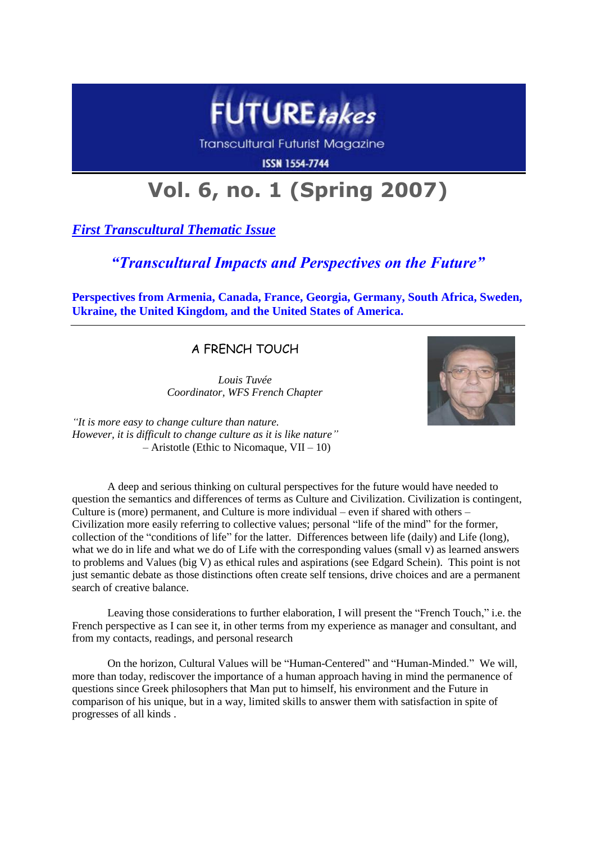

**Transcultural Futurist Magazine** 

**ISSN 1554-7744** 

# **Vol. 6, no. 1 (Spring 2007)**

*First Transcultural Thematic Issue*

# *"Transcultural Impacts and Perspectives on the Future"*

**Perspectives from Armenia, Canada, France, Georgia, Germany, South Africa, Sweden, Ukraine, the United Kingdom, and the United States of America.**

A FRENCH TOUCH

*Louis Tuvée Coordinator, WFS French Chapter*



*"It is more easy to change culture than nature. However, it is difficult to change culture as it is like nature"*  $-$  Aristotle (Ethic to Nicomaque, VII – 10)

A deep and serious thinking on cultural perspectives for the future would have needed to question the semantics and differences of terms as Culture and Civilization. Civilization is contingent, Culture is (more) permanent, and Culture is more individual – even if shared with others – Civilization more easily referring to collective values; personal "life of the mind" for the former, collection of the "conditions of life" for the latter. Differences between life (daily) and Life (long), what we do in life and what we do of Life with the corresponding values (small v) as learned answers to problems and Values (big V) as ethical rules and aspirations (see Edgard Schein). This point is not just semantic debate as those distinctions often create self tensions, drive choices and are a permanent search of creative balance.

Leaving those considerations to further elaboration, I will present the "French Touch," i.e. the French perspective as I can see it, in other terms from my experience as manager and consultant, and from my contacts, readings, and personal research

On the horizon, Cultural Values will be "Human-Centered" and "Human-Minded." We will, more than today, rediscover the importance of a human approach having in mind the permanence of questions since Greek philosophers that Man put to himself, his environment and the Future in comparison of his unique, but in a way, limited skills to answer them with satisfaction in spite of progresses of all kinds .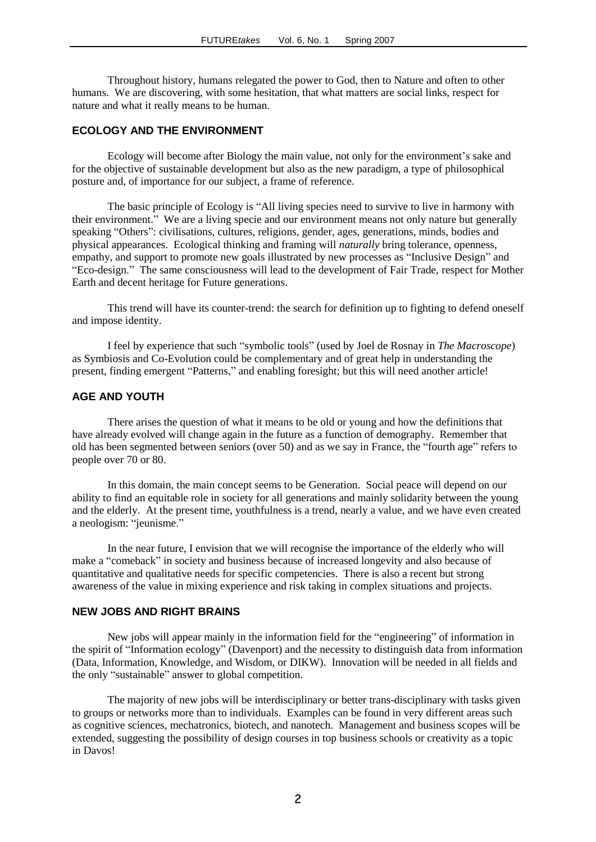Throughout history, humans relegated the power to God, then to Nature and often to other humans. We are discovering, with some hesitation, that what matters are social links, respect for nature and what it really means to be human.

# **ECOLOGY AND THE ENVIRONMENT**

Ecology will become after Biology the main value, not only for the environment's sake and for the objective of sustainable development but also as the new paradigm, a type of philosophical posture and, of importance for our subject, a frame of reference.

The basic principle of Ecology is "All living species need to survive to live in harmony with their environment." We are a living specie and our environment means not only nature but generally speaking "Others": civilisations, cultures, religions, gender, ages, generations, minds, bodies and physical appearances. Ecological thinking and framing will *naturally* bring tolerance, openness, empathy, and support to promote new goals illustrated by new processes as "Inclusive Design" and "Eco-design." The same consciousness will lead to the development of Fair Trade, respect for Mother Earth and decent heritage for Future generations.

This trend will have its counter-trend: the search for definition up to fighting to defend oneself and impose identity.

I feel by experience that such "symbolic tools" (used by Joel de Rosnay in *The Macroscope*) as Symbiosis and Co-Evolution could be complementary and of great help in understanding the present, finding emergent "Patterns," and enabling foresight; but this will need another article!

#### **AGE AND YOUTH**

There arises the question of what it means to be old or young and how the definitions that have already evolved will change again in the future as a function of demography. Remember that old has been segmented between seniors (over 50) and as we say in France, the "fourth age" refers to people over 70 or 80.

In this domain, the main concept seems to be Generation. Social peace will depend on our ability to find an equitable role in society for all generations and mainly solidarity between the young and the elderly. At the present time, youthfulness is a trend, nearly a value, and we have even created a neologism: "jeunisme."

In the near future, I envision that we will recognise the importance of the elderly who will make a "comeback" in society and business because of increased longevity and also because of quantitative and qualitative needs for specific competencies. There is also a recent but strong awareness of the value in mixing experience and risk taking in complex situations and projects.

# **NEW JOBS AND RIGHT BRAINS**

New jobs will appear mainly in the information field for the "engineering" of information in the spirit of "Information ecology" (Davenport) and the necessity to distinguish data from information (Data, Information, Knowledge, and Wisdom, or DIKW). Innovation will be needed in all fields and the only "sustainable" answer to global competition.

The majority of new jobs will be interdisciplinary or better trans-disciplinary with tasks given to groups or networks more than to individuals. Examples can be found in very different areas such as cognitive sciences, mechatronics, biotech, and nanotech. Management and business scopes will be extended, suggesting the possibility of design courses in top business schools or creativity as a topic in Davos!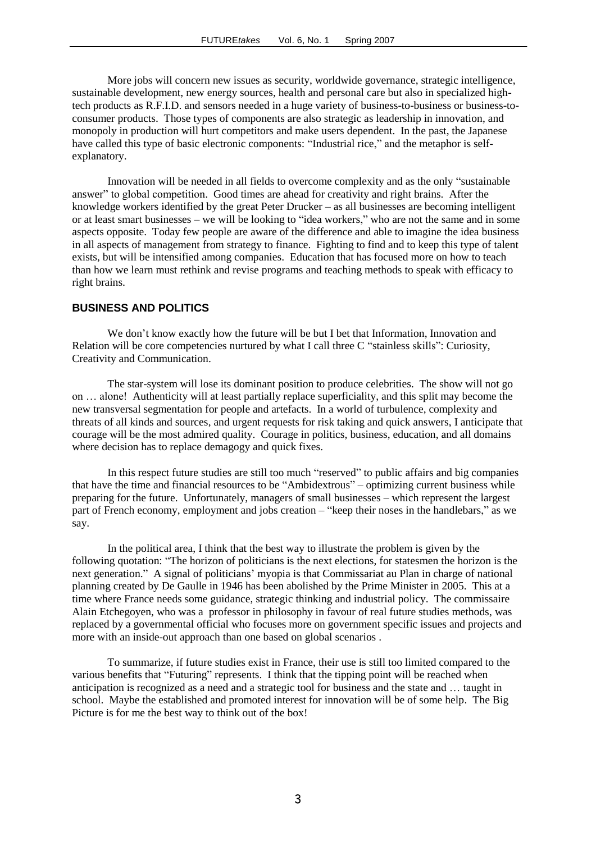More jobs will concern new issues as security, worldwide governance, strategic intelligence, sustainable development, new energy sources, health and personal care but also in specialized hightech products as R.F.I.D. and sensors needed in a huge variety of business-to-business or business-toconsumer products. Those types of components are also strategic as leadership in innovation, and monopoly in production will hurt competitors and make users dependent. In the past, the Japanese have called this type of basic electronic components: "Industrial rice," and the metaphor is selfexplanatory.

Innovation will be needed in all fields to overcome complexity and as the only "sustainable answer" to global competition. Good times are ahead for creativity and right brains. After the knowledge workers identified by the great Peter Drucker – as all businesses are becoming intelligent or at least smart businesses – we will be looking to "idea workers," who are not the same and in some aspects opposite. Today few people are aware of the difference and able to imagine the idea business in all aspects of management from strategy to finance. Fighting to find and to keep this type of talent exists, but will be intensified among companies. Education that has focused more on how to teach than how we learn must rethink and revise programs and teaching methods to speak with efficacy to right brains.

#### **BUSINESS AND POLITICS**

We don't know exactly how the future will be but I bet that Information, Innovation and Relation will be core competencies nurtured by what I call three C "stainless skills": Curiosity, Creativity and Communication.

The star-system will lose its dominant position to produce celebrities. The show will not go on … alone! Authenticity will at least partially replace superficiality, and this split may become the new transversal segmentation for people and artefacts. In a world of turbulence, complexity and threats of all kinds and sources, and urgent requests for risk taking and quick answers, I anticipate that courage will be the most admired quality. Courage in politics, business, education, and all domains where decision has to replace demagogy and quick fixes.

In this respect future studies are still too much "reserved" to public affairs and big companies that have the time and financial resources to be "Ambidextrous" – optimizing current business while preparing for the future. Unfortunately, managers of small businesses – which represent the largest part of French economy, employment and jobs creation – "keep their noses in the handlebars," as we say.

In the political area, I think that the best way to illustrate the problem is given by the following quotation: "The horizon of politicians is the next elections, for statesmen the horizon is the next generation." A signal of politicians' myopia is that Commissariat au Plan in charge of national planning created by De Gaulle in 1946 has been abolished by the Prime Minister in 2005. This at a time where France needs some guidance, strategic thinking and industrial policy. The commissaire Alain Etchegoyen, who was a professor in philosophy in favour of real future studies methods, was replaced by a governmental official who focuses more on government specific issues and projects and more with an inside-out approach than one based on global scenarios .

To summarize, if future studies exist in France, their use is still too limited compared to the various benefits that "Futuring" represents. I think that the tipping point will be reached when anticipation is recognized as a need and a strategic tool for business and the state and … taught in school. Maybe the established and promoted interest for innovation will be of some help. The Big Picture is for me the best way to think out of the box!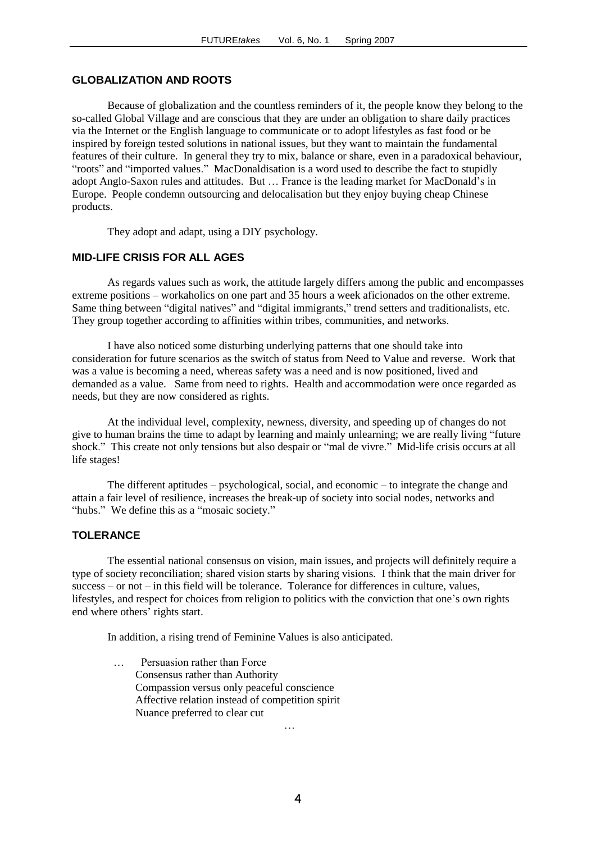#### **GLOBALIZATION AND ROOTS**

Because of globalization and the countless reminders of it, the people know they belong to the so-called Global Village and are conscious that they are under an obligation to share daily practices via the Internet or the English language to communicate or to adopt lifestyles as fast food or be inspired by foreign tested solutions in national issues, but they want to maintain the fundamental features of their culture. In general they try to mix, balance or share, even in a paradoxical behaviour, "roots" and "imported values." MacDonaldisation is a word used to describe the fact to stupidly adopt Anglo-Saxon rules and attitudes. But … France is the leading market for MacDonald's in Europe. People condemn outsourcing and delocalisation but they enjoy buying cheap Chinese products.

They adopt and adapt, using a DIY psychology.

# **MID-LIFE CRISIS FOR ALL AGES**

As regards values such as work, the attitude largely differs among the public and encompasses extreme positions – workaholics on one part and 35 hours a week aficionados on the other extreme. Same thing between "digital natives" and "digital immigrants," trend setters and traditionalists, etc. They group together according to affinities within tribes, communities, and networks.

I have also noticed some disturbing underlying patterns that one should take into consideration for future scenarios as the switch of status from Need to Value and reverse. Work that was a value is becoming a need, whereas safety was a need and is now positioned, lived and demanded as a value. Same from need to rights. Health and accommodation were once regarded as needs, but they are now considered as rights.

At the individual level, complexity, newness, diversity, and speeding up of changes do not give to human brains the time to adapt by learning and mainly unlearning; we are really living "future shock." This create not only tensions but also despair or "mal de vivre." Mid-life crisis occurs at all life stages!

The different aptitudes – psychological, social, and economic – to integrate the change and attain a fair level of resilience, increases the break-up of society into social nodes, networks and "hubs." We define this as a "mosaic society."

#### **TOLERANCE**

The essential national consensus on vision, main issues, and projects will definitely require a type of society reconciliation; shared vision starts by sharing visions. I think that the main driver for success – or not – in this field will be tolerance. Tolerance for differences in culture, values, lifestyles, and respect for choices from religion to politics with the conviction that one's own rights end where others' rights start.

In addition, a rising trend of Feminine Values is also anticipated.

 … Persuasion rather than Force Consensus rather than Authority Compassion versus only peaceful conscience Affective relation instead of competition spirit Nuance preferred to clear cut and the contract of the contract of the contract of the contract of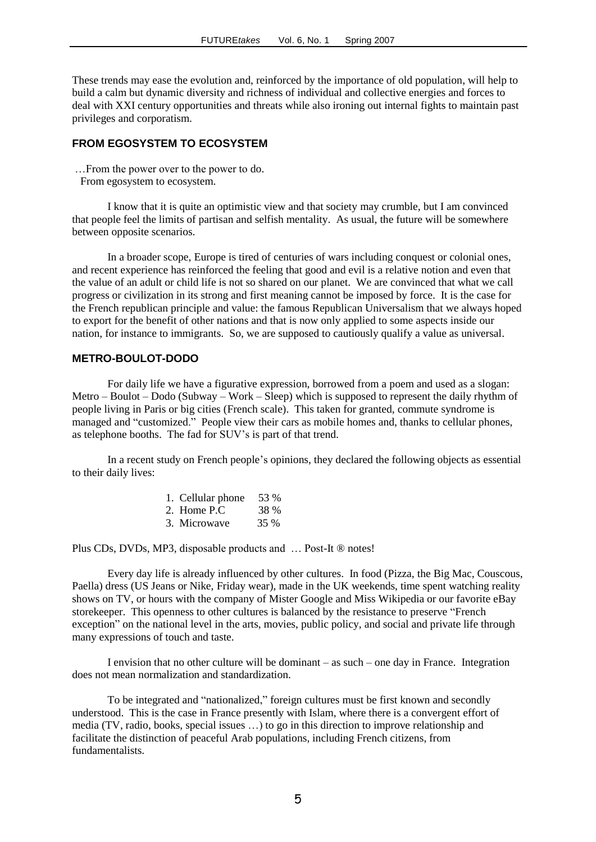These trends may ease the evolution and, reinforced by the importance of old population, will help to build a calm but dynamic diversity and richness of individual and collective energies and forces to deal with XXI century opportunities and threats while also ironing out internal fights to maintain past privileges and corporatism.

#### **FROM EGOSYSTEM TO ECOSYSTEM**

…From the power over to the power to do.

From egosystem to ecosystem.

I know that it is quite an optimistic view and that society may crumble, but I am convinced that people feel the limits of partisan and selfish mentality. As usual, the future will be somewhere between opposite scenarios.

In a broader scope, Europe is tired of centuries of wars including conquest or colonial ones, and recent experience has reinforced the feeling that good and evil is a relative notion and even that the value of an adult or child life is not so shared on our planet. We are convinced that what we call progress or civilization in its strong and first meaning cannot be imposed by force. It is the case for the French republican principle and value: the famous Republican Universalism that we always hoped to export for the benefit of other nations and that is now only applied to some aspects inside our nation, for instance to immigrants. So, we are supposed to cautiously qualify a value as universal.

### **METRO-BOULOT-DODO**

For daily life we have a figurative expression, borrowed from a poem and used as a slogan: Metro – Boulot – Dodo (Subway – Work – Sleep) which is supposed to represent the daily rhythm of people living in Paris or big cities (French scale). This taken for granted, commute syndrome is managed and "customized." People view their cars as mobile homes and, thanks to cellular phones, as telephone booths. The fad for SUV's is part of that trend.

In a recent study on French people's opinions, they declared the following objects as essential to their daily lives:

| 1. Cellular phone $53\%$ |      |
|--------------------------|------|
| 2. Home P.C.             | 38 % |
| 3. Microwave             | 35 % |

Plus CDs, DVDs, MP3, disposable products and … Post-It ® notes!

Every day life is already influenced by other cultures. In food (Pizza, the Big Mac, Couscous, Paella) dress (US Jeans or Nike, Friday wear), made in the UK weekends, time spent watching reality shows on TV, or hours with the company of Mister Google and Miss Wikipedia or our favorite eBay storekeeper. This openness to other cultures is balanced by the resistance to preserve "French exception" on the national level in the arts, movies, public policy, and social and private life through many expressions of touch and taste.

I envision that no other culture will be dominant – as such – one day in France. Integration does not mean normalization and standardization.

To be integrated and "nationalized," foreign cultures must be first known and secondly understood. This is the case in France presently with Islam, where there is a convergent effort of media (TV, radio, books, special issues …) to go in this direction to improve relationship and facilitate the distinction of peaceful Arab populations, including French citizens, from fundamentalists.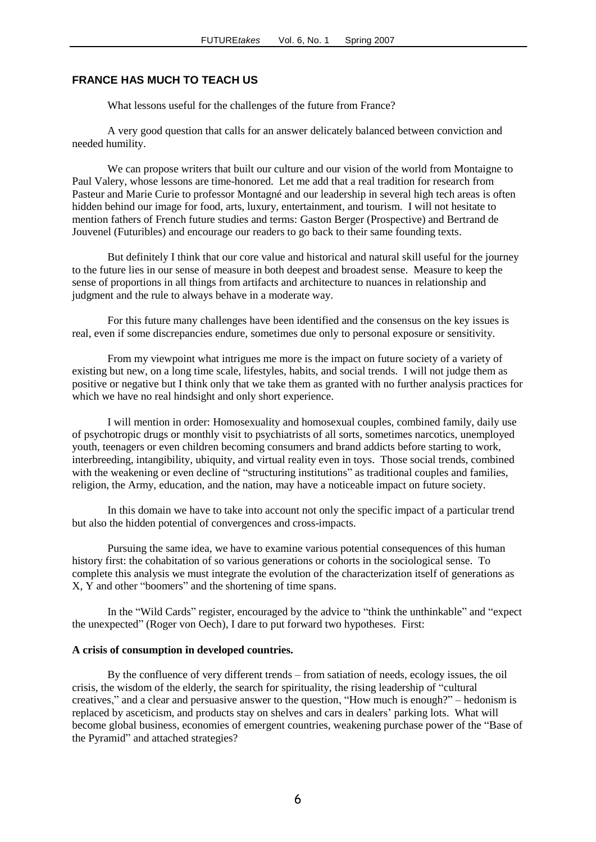#### **FRANCE HAS MUCH TO TEACH US**

What lessons useful for the challenges of the future from France?

A very good question that calls for an answer delicately balanced between conviction and needed humility.

We can propose writers that built our culture and our vision of the world from Montaigne to Paul Valery, whose lessons are time-honored. Let me add that a real tradition for research from Pasteur and Marie Curie to professor Montagné and our leadership in several high tech areas is often hidden behind our image for food, arts, luxury, entertainment, and tourism. I will not hesitate to mention fathers of French future studies and terms: Gaston Berger (Prospective) and Bertrand de Jouvenel (Futuribles) and encourage our readers to go back to their same founding texts.

But definitely I think that our core value and historical and natural skill useful for the journey to the future lies in our sense of measure in both deepest and broadest sense. Measure to keep the sense of proportions in all things from artifacts and architecture to nuances in relationship and judgment and the rule to always behave in a moderate way.

For this future many challenges have been identified and the consensus on the key issues is real, even if some discrepancies endure, sometimes due only to personal exposure or sensitivity.

From my viewpoint what intrigues me more is the impact on future society of a variety of existing but new, on a long time scale, lifestyles, habits, and social trends. I will not judge them as positive or negative but I think only that we take them as granted with no further analysis practices for which we have no real hindsight and only short experience.

I will mention in order: Homosexuality and homosexual couples, combined family, daily use of psychotropic drugs or monthly visit to psychiatrists of all sorts, sometimes narcotics, unemployed youth, teenagers or even children becoming consumers and brand addicts before starting to work, interbreeding, intangibility, ubiquity, and virtual reality even in toys. Those social trends, combined with the weakening or even decline of "structuring institutions" as traditional couples and families, religion, the Army, education, and the nation, may have a noticeable impact on future society.

In this domain we have to take into account not only the specific impact of a particular trend but also the hidden potential of convergences and cross-impacts.

Pursuing the same idea, we have to examine various potential consequences of this human history first: the cohabitation of so various generations or cohorts in the sociological sense. To complete this analysis we must integrate the evolution of the characterization itself of generations as X, Y and other "boomers" and the shortening of time spans.

In the "Wild Cards" register, encouraged by the advice to "think the unthinkable" and "expect the unexpected" (Roger von Oech), I dare to put forward two hypotheses. First:

#### **A crisis of consumption in developed countries.**

By the confluence of very different trends – from satiation of needs, ecology issues, the oil crisis, the wisdom of the elderly, the search for spirituality, the rising leadership of "cultural creatives," and a clear and persuasive answer to the question, "How much is enough?" – hedonism is replaced by asceticism, and products stay on shelves and cars in dealers' parking lots. What will become global business, economies of emergent countries, weakening purchase power of the "Base of the Pyramid" and attached strategies?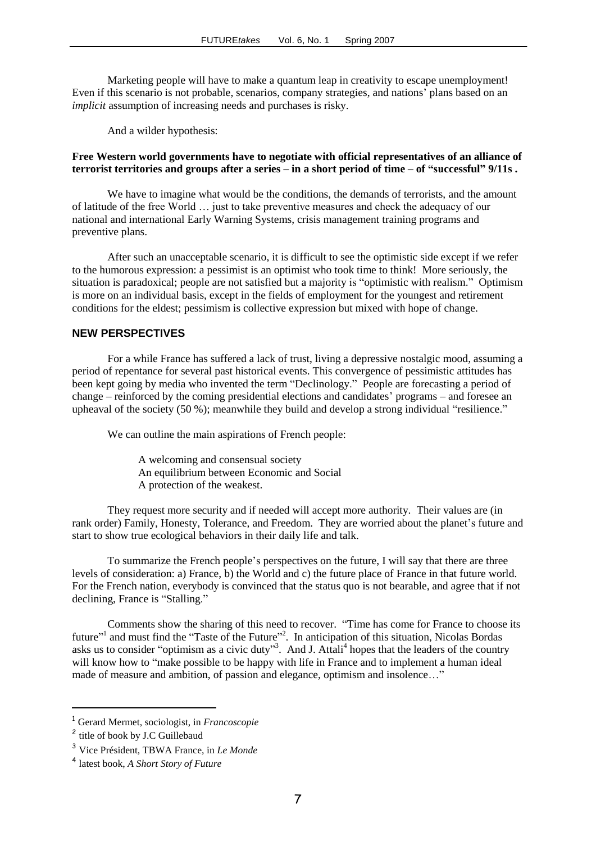Marketing people will have to make a quantum leap in creativity to escape unemployment! Even if this scenario is not probable, scenarios, company strategies, and nations' plans based on an *implicit* assumption of increasing needs and purchases is risky.

And a wilder hypothesis:

#### **Free Western world governments have to negotiate with official representatives of an alliance of terrorist territories and groups after a series – in a short period of time – of "successful" 9/11s .**

We have to imagine what would be the conditions, the demands of terrorists, and the amount of latitude of the free World … just to take preventive measures and check the adequacy of our national and international Early Warning Systems, crisis management training programs and preventive plans.

After such an unacceptable scenario, it is difficult to see the optimistic side except if we refer to the humorous expression: a pessimist is an optimist who took time to think! More seriously, the situation is paradoxical; people are not satisfied but a majority is "optimistic with realism." Optimism is more on an individual basis, except in the fields of employment for the youngest and retirement conditions for the eldest; pessimism is collective expression but mixed with hope of change.

# **NEW PERSPECTIVES**

For a while France has suffered a lack of trust, living a depressive nostalgic mood, assuming a period of repentance for several past historical events. This convergence of pessimistic attitudes has been kept going by media who invented the term "Declinology." People are forecasting a period of change – reinforced by the coming presidential elections and candidates' programs – and foresee an upheaval of the society (50 %); meanwhile they build and develop a strong individual "resilience."

We can outline the main aspirations of French people:

 A welcoming and consensual society An equilibrium between Economic and Social A protection of the weakest.

They request more security and if needed will accept more authority. Their values are (in rank order) Family, Honesty, Tolerance, and Freedom. They are worried about the planet's future and start to show true ecological behaviors in their daily life and talk.

To summarize the French people's perspectives on the future, I will say that there are three levels of consideration: a) France, b) the World and c) the future place of France in that future world. For the French nation, everybody is convinced that the status quo is not bearable, and agree that if not declining, France is "Stalling."

Comments show the sharing of this need to recover. "Time has come for France to choose its future"<sup>1</sup> and must find the "Taste of the Future"<sup>2</sup>. In anticipation of this situation, Nicolas Bordas asks us to consider "optimism as a civic duty"<sup>3</sup>. And J. Attali<sup>4</sup> hopes that the leaders of the country will know how to "make possible to be happy with life in France and to implement a human ideal made of measure and ambition, of passion and elegance, optimism and insolence…"

-

<sup>1</sup> Gerard Mermet, sociologist, in *Francoscopie*

<sup>&</sup>lt;sup>2</sup> title of book by J.C Guillebaud

<sup>3</sup> Vice Président, TBWA France, in *Le Monde*

<sup>4</sup> latest book, *A Short Story of Future*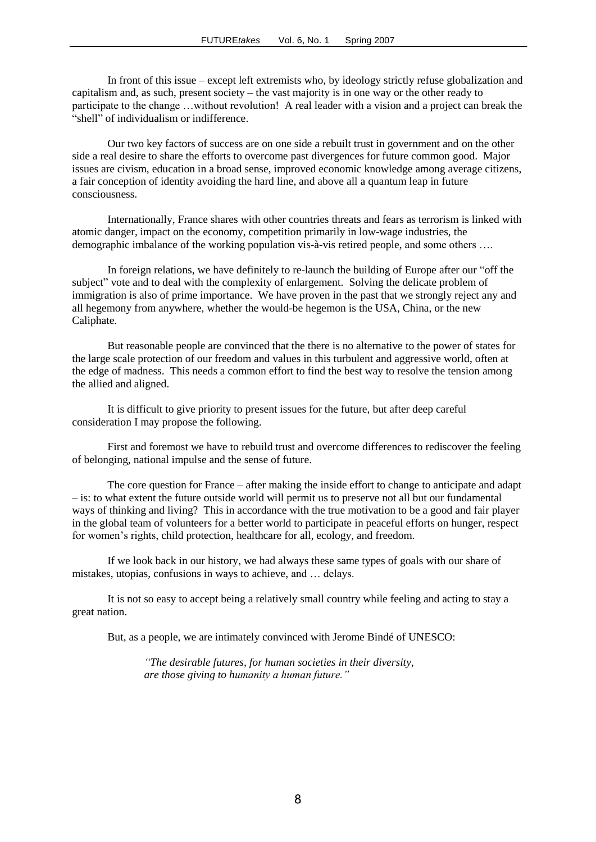In front of this issue – except left extremists who, by ideology strictly refuse globalization and capitalism and, as such, present society – the vast majority is in one way or the other ready to participate to the change …without revolution! A real leader with a vision and a project can break the "shell" of individualism or indifference.

Our two key factors of success are on one side a rebuilt trust in government and on the other side a real desire to share the efforts to overcome past divergences for future common good. Major issues are civism, education in a broad sense, improved economic knowledge among average citizens, a fair conception of identity avoiding the hard line, and above all a quantum leap in future consciousness.

Internationally, France shares with other countries threats and fears as terrorism is linked with atomic danger, impact on the economy, competition primarily in low-wage industries, the demographic imbalance of the working population vis-à-vis retired people, and some others ….

In foreign relations, we have definitely to re-launch the building of Europe after our "off the subject" vote and to deal with the complexity of enlargement. Solving the delicate problem of immigration is also of prime importance. We have proven in the past that we strongly reject any and all hegemony from anywhere, whether the would-be hegemon is the USA, China, or the new Caliphate.

But reasonable people are convinced that the there is no alternative to the power of states for the large scale protection of our freedom and values in this turbulent and aggressive world, often at the edge of madness. This needs a common effort to find the best way to resolve the tension among the allied and aligned.

It is difficult to give priority to present issues for the future, but after deep careful consideration I may propose the following.

First and foremost we have to rebuild trust and overcome differences to rediscover the feeling of belonging, national impulse and the sense of future.

The core question for France – after making the inside effort to change to anticipate and adapt – is: to what extent the future outside world will permit us to preserve not all but our fundamental ways of thinking and living? This in accordance with the true motivation to be a good and fair player in the global team of volunteers for a better world to participate in peaceful efforts on hunger, respect for women's rights, child protection, healthcare for all, ecology, and freedom.

If we look back in our history, we had always these same types of goals with our share of mistakes, utopias, confusions in ways to achieve, and … delays.

It is not so easy to accept being a relatively small country while feeling and acting to stay a great nation.

But, as a people, we are intimately convinced with Jerome Bindé of UNESCO:

*"The desirable futures, for human societies in their diversity, are those giving to humanity a human future."*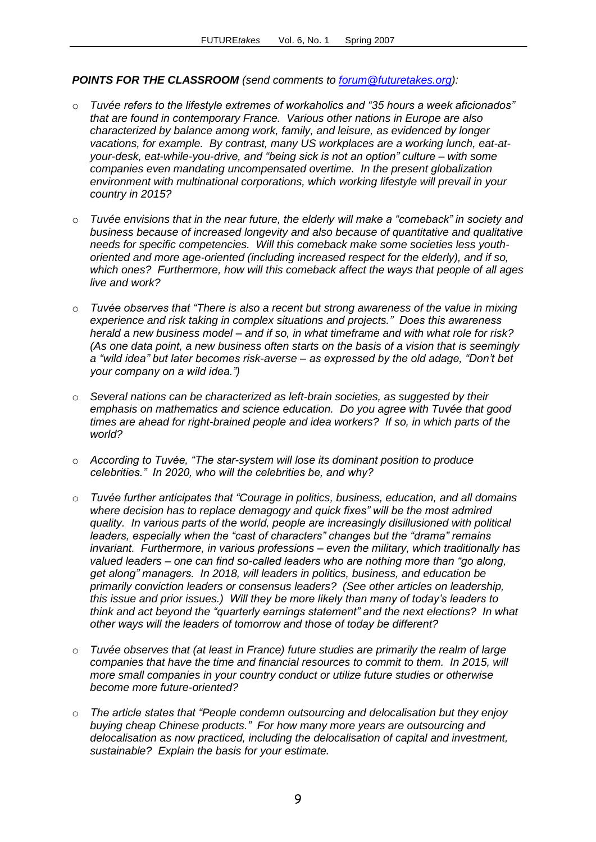# *POINTS FOR THE CLASSROOM (send comments to [forum@futuretakes.org\)](mailto:forum@futuretakes.org):*

- o *Tuvée refers to the lifestyle extremes of workaholics and "35 hours a week aficionados" that are found in contemporary France. Various other nations in Europe are also characterized by balance among work, family, and leisure, as evidenced by longer vacations, for example. By contrast, many US workplaces are a working lunch, eat-atyour-desk, eat-while-you-drive, and "being sick is not an option" culture – with some companies even mandating uncompensated overtime. In the present globalization environment with multinational corporations, which working lifestyle will prevail in your country in 2015?*
- o *Tuvée envisions that in the near future, the elderly will make a "comeback" in society and business because of increased longevity and also because of quantitative and qualitative needs for specific competencies. Will this comeback make some societies less youthoriented and more age-oriented (including increased respect for the elderly), and if so, which ones? Furthermore, how will this comeback affect the ways that people of all ages live and work?*
- o *Tuvée observes that "There is also a recent but strong awareness of the value in mixing experience and risk taking in complex situations and projects." Does this awareness herald a new business model – and if so, in what timeframe and with what role for risk? (As one data point, a new business often starts on the basis of a vision that is seemingly a "wild idea" but later becomes risk-averse – as expressed by the old adage, "Don't bet your company on a wild idea.")*
- o *Several nations can be characterized as left-brain societies, as suggested by their emphasis on mathematics and science education. Do you agree with Tuvée that good times are ahead for right-brained people and idea workers? If so, in which parts of the world?*
- o *According to Tuvée, "The star-system will lose its dominant position to produce celebrities." In 2020, who will the celebrities be, and why?*
- o *Tuvée further anticipates that "Courage in politics, business, education, and all domains where decision has to replace demagogy and quick fixes" will be the most admired quality. In various parts of the world, people are increasingly disillusioned with political leaders, especially when the "cast of characters" changes but the "drama" remains invariant. Furthermore, in various professions – even the military, which traditionally has valued leaders – one can find so-called leaders who are nothing more than "go along, get along" managers. In 2018, will leaders in politics, business, and education be primarily conviction leaders or consensus leaders? (See other articles on leadership, this issue and prior issues.) Will they be more likely than many of today's leaders to think and act beyond the "quarterly earnings statement" and the next elections? In what other ways will the leaders of tomorrow and those of today be different?*
- o *Tuvée observes that (at least in France) future studies are primarily the realm of large companies that have the time and financial resources to commit to them. In 2015, will more small companies in your country conduct or utilize future studies or otherwise become more future-oriented?*
- o *The article states that "People condemn outsourcing and delocalisation but they enjoy buying cheap Chinese products." For how many more years are outsourcing and delocalisation as now practiced, including the delocalisation of capital and investment, sustainable? Explain the basis for your estimate.*